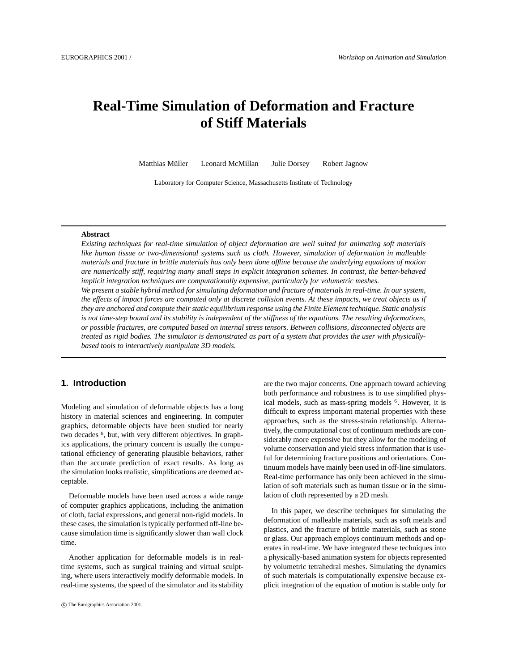# **Real-Time Simulation of Deformation and Fracture of Stiff Materials**

Matthias Müller Leonard McMillan Julie Dorsey Robert Jagnow

Laboratory for Computer Science, Massachusetts Institute of Technology

### **Abstract**

*Existing techniques for real-time simulation of object deformation are well suited for animating soft materials like human tissue or two-dimensional systems such as cloth. However, simulation of deformation in malleable materials and fracture in brittle materials has only been done offline because the underlying equations of motion are numerically stiff, requiring many small steps in explicit integration schemes. In contrast, the better-behaved implicit integration techniques are computationally expensive, particularly for volumetric meshes.*

*We present a stable hybrid method for simulating deformation and fracture of materials in real-time. In our system, the effects of impact forces are computed only at discrete collision events. At these impacts, we treat objects as if they are anchored and compute their static equilibrium response using the Finite Element technique. Static analysis is not time-step bound and its stability is independent of the stiffness of the equations. The resulting deformations, or possible fractures, are computed based on internal stress tensors. Between collisions, disconnected objects are treated as rigid bodies. The simulator is demonstrated as part of a system that provides the user with physicallybased tools to interactively manipulate 3D models.*

# **1. Introduction**

Modeling and simulation of deformable objects has a long history in material sciences and engineering. In computer graphics, deformable objects have been studied for nearly two decades 6, but, with very different objectives. In graphics applications, the primary concern is usually the computational efficiency of generating plausible behaviors, rather than the accurate prediction of exact results. As long as the simulation looks realistic, simplifications are deemed acceptable.

Deformable models have been used across a wide range of computer graphics applications, including the animation of cloth, facial expressions, and general non-rigid models. In these cases, the simulation is typically performed off-line because simulation time is significantly slower than wall clock time.

Another application for deformable models is in realtime systems, such as surgical training and virtual sculpting, where users interactively modify deformable models. In real-time systems, the speed of the simulator and its stability

are the two major concerns. One approach toward achieving both performance and robustness is to use simplified physical models, such as mass-spring models 6. However, it is difficult to express important material properties with these approaches, such as the stress-strain relationship. Alternatively, the computational cost of continuum methods are considerably more expensive but they allow for the modeling of volume conservation and yield stress information that is useful for determining fracture positions and orientations. Continuum models have mainly been used in off-line simulators. Real-time performance has only been achieved in the simulation of soft materials such as human tissue or in the simulation of cloth represented by a 2D mesh.

In this paper, we describe techniques for simulating the deformation of malleable materials, such as soft metals and plastics, and the fracture of brittle materials, such as stone or glass. Our approach employs continuum methods and operates in real-time. We have integrated these techniques into a physically-based animation system for objects represented by volumetric tetrahedral meshes. Simulating the dynamics of such materials is computationally expensive because explicit integration of the equation of motion is stable only for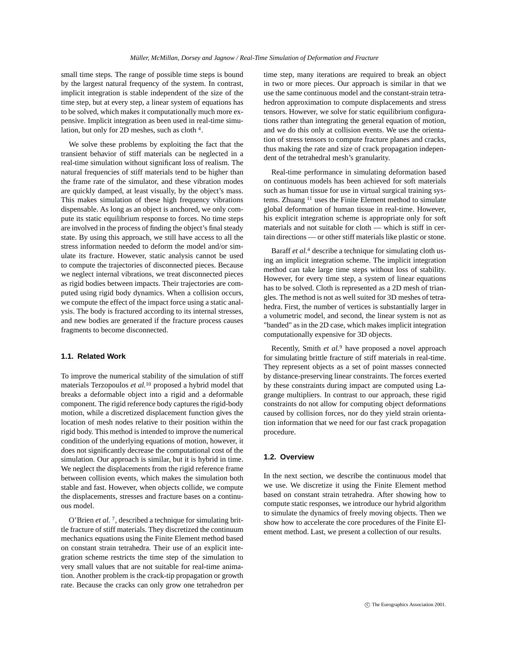small time steps. The range of possible time steps is bound by the largest natural frequency of the system. In contrast, implicit integration is stable independent of the size of the time step, but at every step, a linear system of equations has to be solved, which makes it computationally much more expensive. Implicit integration as been used in real-time simulation, but only for 2D meshes, such as cloth 4.

We solve these problems by exploiting the fact that the transient behavior of stiff materials can be neglected in a real-time simulation without significant loss of realism. The natural frequencies of stiff materials tend to be higher than the frame rate of the simulator, and these vibration modes are quickly damped, at least visually, by the object's mass. This makes simulation of these high frequency vibrations dispensable. As long as an object is anchored, we only compute its static equilibrium response to forces. No time steps are involved in the process of finding the object's final steady state. By using this approach, we still have access to all the stress information needed to deform the model and/or simulate its fracture. However, static analysis cannot be used to compute the trajectories of disconnected pieces. Because we neglect internal vibrations, we treat disconnected pieces as rigid bodies between impacts. Their trajectories are computed using rigid body dynamics. When a collision occurs, we compute the effect of the impact force using a static analysis. The body is fractured according to its internal stresses, and new bodies are generated if the fracture process causes fragments to become disconnected.

### **1.1. Related Work**

To improve the numerical stability of the simulation of stiff materials Terzopoulos *et al.*<sup>10</sup> proposed a hybrid model that breaks a deformable object into a rigid and a deformable component. The rigid reference body captures the rigid-body motion, while a discretized displacement function gives the location of mesh nodes relative to their position within the rigid body. This method is intended to improve the numerical condition of the underlying equations of motion, however, it does not significantly decrease the computational cost of the simulation. Our approach is similar, but it is hybrid in time. We neglect the displacements from the rigid reference frame between collision events, which makes the simulation both stable and fast. However, when objects collide, we compute the displacements, stresses and fracture bases on a continuous model.

O'Brien *et al.* 7, described a technique for simulating brittle fracture of stiff materials. They discretized the continuum mechanics equations using the Finite Element method based on constant strain tetrahedra. Their use of an explicit integration scheme restricts the time step of the simulation to very small values that are not suitable for real-time animation. Another problem is the crack-tip propagation or growth rate. Because the cracks can only grow one tetrahedron per time step, many iterations are required to break an object in two or more pieces. Our approach is similar in that we use the same continuous model and the constant-strain tetrahedron approximation to compute displacements and stress tensors. However, we solve for static equilibrium configurations rather than integrating the general equation of motion, and we do this only at collision events. We use the orientation of stress tensors to compute fracture planes and cracks, thus making the rate and size of crack propagation independent of the tetrahedral mesh's granularity.

Real-time performance in simulating deformation based on continuous models has been achieved for soft materials such as human tissue for use in virtual surgical training systems. Zhuang <sup>11</sup> uses the Finite Element method to simulate global deformation of human tissue in real-time. However, his explicit integration scheme is appropriate only for soft materials and not suitable for cloth — which is stiff in certain directions — or other stiff materials like plastic or stone.

Baraff *et al.*<sup>4</sup> describe a technique for simulating cloth using an implicit integration scheme. The implicit integration method can take large time steps without loss of stability. However, for every time step, a system of linear equations has to be solved. Cloth is represented as a 2D mesh of triangles. The method is not as well suited for 3D meshes of tetrahedra. First, the number of vertices is substantially larger in a volumetric model, and second, the linear system is not as "banded" as in the 2D case, which makes implicit integration computationally expensive for 3D objects.

Recently, Smith *et al.*<sup>9</sup> have proposed a novel approach for simulating brittle fracture of stiff materials in real-time. They represent objects as a set of point masses connected by distance-preserving linear constraints. The forces exerted by these constraints during impact are computed using Lagrange multipliers. In contrast to our approach, these rigid constraints do not allow for computing object deformations caused by collision forces, nor do they yield strain orientation information that we need for our fast crack propagation procedure.

### **1.2. Overview**

In the next section, we describe the continuous model that we use. We discretize it using the Finite Element method based on constant strain tetrahedra. After showing how to compute static responses, we introduce our hybrid algorithm to simulate the dynamics of freely moving objects. Then we show how to accelerate the core procedures of the Finite Element method. Last, we present a collection of our results.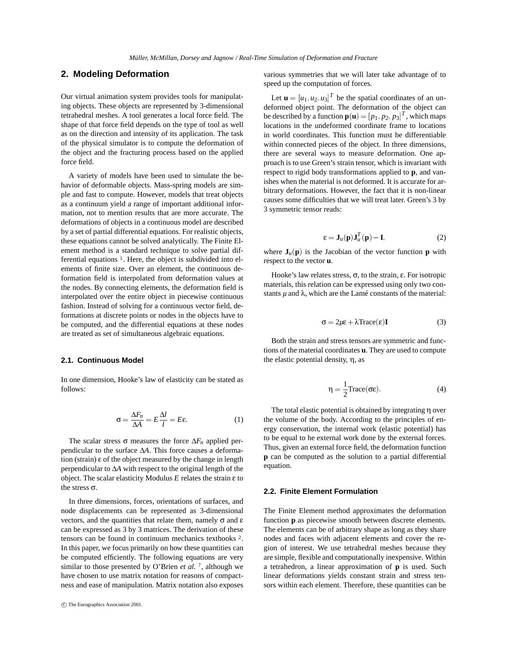# **2. Modeling Deformation**

Our virtual animation system provides tools for manipulating objects. These objects are represented by 3-dimensional tetrahedral meshes. A tool generates a local force field. The shape of that force field depends on the type of tool as well as on the direction and intensity of its application. The task of the physical simulator is to compute the deformation of the object and the fracturing process based on the applied force field.

A variety of models have been used to simulate the behavior of deformable objects. Mass-spring models are simple and fast to compute. However, models that treat objects as a continuum yield a range of important additional information, not to mention results that are more accurate. The deformations of objects in a continuous model are described by a set of partial differential equations. For realistic objects, these equations cannot be solved analytically. The Finite Element method is a standard technique to solve partial differential equations<sup>1</sup>. Here, the object is subdivided into elements of finite size. Over an element, the continuous deformation field is interpolated from deformation values at the nodes. By connecting elements, the deformation field is interpolated over the entire object in piecewise continuous fashion. Instead of solving for a continuous vector field, deformations at discrete points or nodes in the objects have to be computed, and the differential equations at these nodes are treated as set of simultaneous algebraic equations.

### **2.1. Continuous Model**

In one dimension, Hooke's law of elasticity can be stated as follows:

$$
\sigma = \frac{\Delta F_n}{\Delta A} = E \frac{\Delta l}{l} = E \varepsilon. \tag{1}
$$

The scalar stress  $\sigma$  measures the force  $\Delta F_n$  applied perpendicular to the surface ∆*A*. This force causes a deformation (strain) ε of the object measured by the change in length perpendicular to ∆*A* with respect to the original length of the object. The scalar elasticity Modulus *E* relates the strain ε to the stress σ.

In three dimensions, forces, orientations of surfaces, and node displacements can be represented as 3-dimensional vectors, and the quantities that relate them, namely σ and  $ε$ can be expressed as 3 by 3 matrices. The derivation of these tensors can be found in continuum mechanics textbooks 2. In this paper, we focus primarily on how these quantities can be computed efficiently. The following equations are very similar to those presented by O'Brien *et al.* 7, although we have chosen to use matrix notation for reasons of compactness and ease of manipulation. Matrix notation also exposes various symmetries that we will later take advantage of to speed up the computation of forces.

Let  $\mathbf{u} = [u_1, u_2, u_3]^T$  be the spatial coordinates of an undeformed object point. The deformation of the object can be described by a function  $\mathbf{p}(\mathbf{u}) = [p_1, p_2, p_3]^T$ , which maps locations in the undeformed coordinate frame to locations in world coordinates. This function must be differentiable within connected pieces of the object. In three dimensions, there are several ways to measure deformation. One approach is to use Green's strain tensor, which is invariant with respect to rigid body transformations applied to **p**, and vanishes when the material is not deformed. It is accurate for arbitrary deformations. However, the fact that it is non-linear causes some difficulties that we will treat later. Green's 3 by 3 symmetric tensor reads:

$$
\varepsilon = \mathbf{J}_u(\mathbf{p})\mathbf{J}_u^T(\mathbf{p}) - \mathbf{I},
$$
 (2)

where  $J_u(p)$  is the Jacobian of the vector function **p** with respect to the vector **u**.

Hooke's law relates stress,  $\sigma$ , to the strain, ε. For isotropic materials, this relation can be expressed using only two constants  $\mu$  and  $\lambda$ , which are the Lamé constants of the material:

$$
\sigma = 2\mu\epsilon + \lambda \text{Trace}(\epsilon)\mathbf{I}
$$
 (3)

Both the strain and stress tensors are symmetric and functions of the material coordinates **u**. They are used to compute the elastic potential density,  $η$ , as

$$
\eta = \frac{1}{2} \text{Trace}(\sigma \varepsilon). \tag{4}
$$

The total elastic potential is obtained by integrating η over the volume of the body. According to the principles of energy conservation, the internal work (elastic potential) has to be equal to he external work done by the external forces. Thus, given an external force field, the deformation function **p** can be computed as the solution to a partial differential equation.

### **2.2. Finite Element Formulation**

The Finite Element method approximates the deformation function **p** as piecewise smooth between discrete elements. The elements can be of arbitrary shape as long as they share nodes and faces with adjacent elements and cover the region of interest. We use tetrahedral meshes because they are simple, flexible and computationally inexpensive. Within a tetrahedron, a linear approximation of **p** is used. Such linear deformations yields constant strain and stress tensors within each element. Therefore, these quantities can be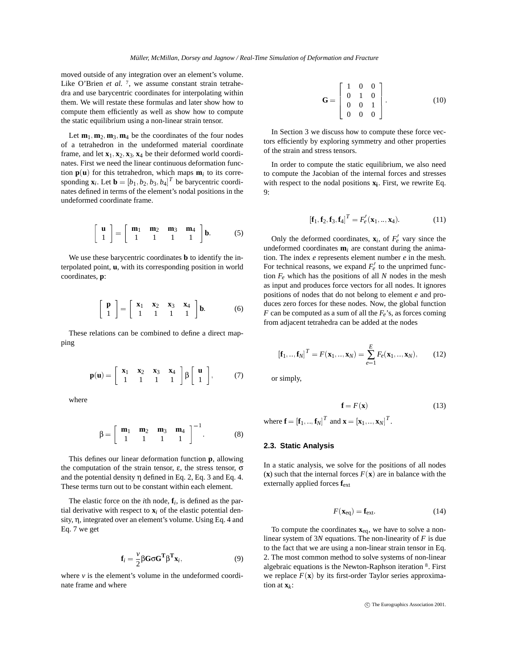moved outside of any integration over an element's volume. Like O'Brien et al. <sup>7</sup>, we assume constant strain tetrahedra and use barycentric coordinates for interpolating within them. We will restate these formulas and later show how to compute them efficiently as well as show how to compute the static equilibrium using a non-linear strain tensor.

Let  $\mathbf{m}_1, \mathbf{m}_2, \mathbf{m}_3, \mathbf{m}_4$  be the coordinates of the four nodes of a tetrahedron in the undeformed material coordinate frame, and let  $\mathbf{x}_1, \mathbf{x}_2, \mathbf{x}_3, \mathbf{x}_4$  be their deformed world coordinates. First we need the linear continuous deformation func- $\mathbf{p}(\mathbf{u})$  for this tetrahedron, which maps  $\mathbf{m}_i$  to its corresponding  $\mathbf{x}_i$ . Let  $\mathbf{b} = [b_1, b_2, b_3, b_4]^T$  be barycentric coordinates defined in terms of the element's nodal positions in the undeformed coordinate frame.

$$
\left[\begin{array}{c}\mathbf{u} \\ 1\end{array}\right] = \left[\begin{array}{cccc}\mathbf{m}_1 & \mathbf{m}_2 & \mathbf{m}_3 & \mathbf{m}_4 \\ 1 & 1 & 1 & 1\end{array}\right] \mathbf{b}.
$$
 (5)

We use these barycentric coordinates **b** to identify the interpolated point, **u**, with its corresponding position in world coordinates, **p**:

$$
\left[\begin{array}{c}\mathbf{p}\\1\end{array}\right]=\left[\begin{array}{cccc}\mathbf{x}_1 & \mathbf{x}_2 & \mathbf{x}_3 & \mathbf{x}_4\\1 & 1 & 1 & 1\end{array}\right]\mathbf{b}.\tag{6}
$$

These relations can be combined to define a direct mapping

$$
\mathbf{p}(\mathbf{u}) = \left[ \begin{array}{ccc} \mathbf{x}_1 & \mathbf{x}_2 & \mathbf{x}_3 & \mathbf{x}_4 \\ 1 & 1 & 1 & 1 \end{array} \right] \beta \left[ \begin{array}{c} \mathbf{u} \\ 1 \end{array} \right],\tag{7}
$$

where

$$
\beta = \left[ \begin{array}{cccc} \mathbf{m}_1 & \mathbf{m}_2 & \mathbf{m}_3 & \mathbf{m}_4 \\ 1 & 1 & 1 & 1 \end{array} \right]^{-1}.
$$
 (8)

This defines our linear deformation function **p**, allowing the computation of the strain tensor, ε, the stress tensor,  $σ$ and the potential density η defined in Eq. 2, Eq. 3 and Eq. 4. These terms turn out to be constant within each element.

The elastic force on the *i*th node, **f***i*, is defined as the partial derivative with respect to  $\mathbf{x}_i$  of the elastic potential density, η, integrated over an element's volume. Using Eq. 4 and Eq. 7 we get

$$
\mathbf{f}_i = \frac{v}{2} \beta \mathbf{G} \sigma \mathbf{G}^{\mathrm{T}} \beta^{\mathrm{T}} \mathbf{x}_i, \tag{9}
$$

where  $\nu$  is the element's volume in the undeformed coordinate frame and where

$$
\mathbf{G} = \left[ \begin{array}{ccc} 1 & 0 & 0 \\ 0 & 1 & 0 \\ 0 & 0 & 1 \\ 0 & 0 & 0 \end{array} \right].\tag{10}
$$

In Section 3 we discuss how to compute these force vectors efficiently by exploring symmetry and other properties of the strain and stress tensors.

In order to compute the static equilibrium, we also need to compute the Jacobian of the internal forces and stresses with respect to the nodal positions  $\mathbf{x}_i$ . First, we rewrite Eq.  $Q$ 

$$
\left[\mathbf{f}_1, \mathbf{f}_2, \mathbf{f}_3, \mathbf{f}_4\right]^T = F_e'(\mathbf{x}_1, \dots, \mathbf{x}_4). \tag{11}
$$

Only the deformed coordinates,  $\mathbf{x}_i$ , of  $F_e'$  vary since the undeformed coordinates  $\mathbf{m}_i$  are constant during the animation. The index *e* represents element number *e* in the mesh. For technical reasons, we expand  $F_e'$  to the unprimed function *Fe* which has the positions of all *N* nodes in the mesh as input and produces force vectors for all nodes. It ignores positions of nodes that do not belong to element *e* and produces zero forces for these nodes. Now, the global function *F* can be computed as a sum of all the *Fe*'s, as forces coming from adjacent tetrahedra can be added at the nodes

$$
\left[\mathbf{f}_1, \ldots, \mathbf{f}_N\right]^T = F(\mathbf{x}_1, \ldots, \mathbf{x}_N) = \sum_{e=1}^E F_e(\mathbf{x}_1, \ldots, \mathbf{x}_N),\tag{12}
$$

or simply,

$$
\mathbf{f} = F(\mathbf{x}) \tag{13}
$$

where  $\mathbf{f} = \begin{bmatrix} \mathbf{f}_1, \dots, \mathbf{f}_N \end{bmatrix}^T$  and  $\mathbf{x} = \begin{bmatrix} \mathbf{x}_1, \dots, \mathbf{x}_N \end{bmatrix}^T$ .

### **2.3. Static Analysis**

In a static analysis, we solve for the positions of all nodes  $(\mathbf{x})$  such that the internal forces  $F(\mathbf{x})$  are in balance with the externally applied forces **f**ext

$$
F(\mathbf{x}_{\text{eq}}) = \mathbf{f}_{\text{ext}}.\tag{14}
$$

To compute the coordinates **x**eq, we have to solve a nonlinear system of 3*N* equations. The non-linearity of *F* is due to the fact that we are using a non-linear strain tensor in Eq. 2. The most common method to solve systems of non-linear algebraic equations is the Newton-Raphson iteration 8. First we replace  $F(\mathbf{x})$  by its first-order Taylor series approximation at **x***k*: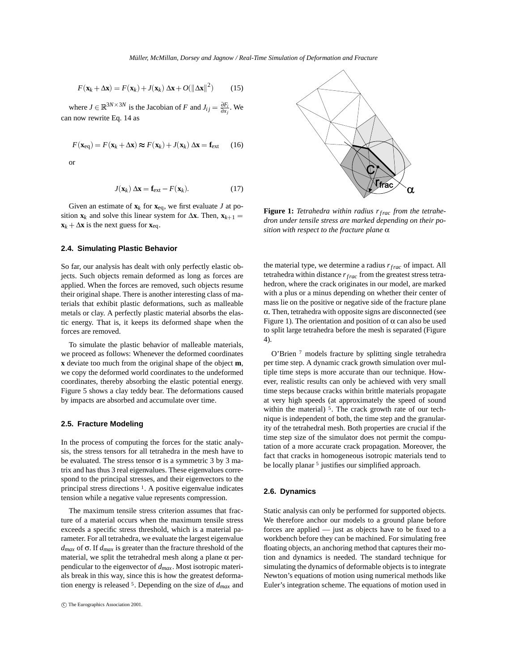$$
F(\mathbf{x}_k + \Delta \mathbf{x}) = F(\mathbf{x}_k) + J(\mathbf{x}_k) \Delta \mathbf{x} + O(||\Delta \mathbf{x}||^2)
$$
 (15)

where  $J \in \mathbb{R}^{3N \times 3N}$  is the Jacobian of *F* and  $J_{ij} = \frac{\partial F_i}{\partial x_j}$ . We can now rewrite Eq. 14 as

$$
F(\mathbf{x}_{eq}) = F(\mathbf{x}_k + \Delta \mathbf{x}) \approx F(\mathbf{x}_k) + J(\mathbf{x}_k) \Delta \mathbf{x} = \mathbf{f}_{ext} \tag{16}
$$

or

$$
J(\mathbf{x}_k) \Delta \mathbf{x} = \mathbf{f}_{ext} - F(\mathbf{x}_k). \tag{17}
$$

Given an estimate of  $\mathbf{x}_k$  for  $\mathbf{x}_{eq}$ , we first evaluate *J* at position **x**<sub>*k*</sub> and solve this linear system for  $\Delta$ **x**. Then, **x**<sub>*k*+1</sub> =  $\mathbf{x}_k + \Delta \mathbf{x}$  is the next guess for  $\mathbf{x}_{eq}$ .

### **2.4. Simulating Plastic Behavior**

So far, our analysis has dealt with only perfectly elastic objects. Such objects remain deformed as long as forces are applied. When the forces are removed, such objects resume their original shape. There is another interesting class of materials that exhibit plastic deformations, such as malleable metals or clay. A perfectly plastic material absorbs the elastic energy. That is, it keeps its deformed shape when the forces are removed.

To simulate the plastic behavior of malleable materials, we proceed as follows: Whenever the deformed coordinates **x** deviate too much from the original shape of the object **m**, we copy the deformed world coordinates to the undeformed coordinates, thereby absorbing the elastic potential energy. Figure 5 shows a clay teddy bear. The deformations caused by impacts are absorbed and accumulate over time.

### **2.5. Fracture Modeling**

In the process of computing the forces for the static analysis, the stress tensors for all tetrahedra in the mesh have to be evaluated. The stress tensor  $\sigma$  is a symmetric 3 by 3 matrix and has thus 3 real eigenvalues. These eigenvalues correspond to the principal stresses, and their eigenvectors to the principal stress directions 1. A positive eigenvalue indicates tension while a negative value represents compression.

The maximum tensile stress criterion assumes that fracture of a material occurs when the maximum tensile stress exceeds a specific stress threshold, which is a material parameter. For all tetrahedra, we evaluate the largest eigenvalue *dmax* of σ. If *dmax* is greater than the fracture threshold of the material, we split the tetrahedral mesh along a plane  $\alpha$  perpendicular to the eigenvector of *dmax*. Most isotropic materials break in this way, since this is how the greatest deformation energy is released 5. Depending on the size of *dmax* and



Figure 1: *Tetrahedra within radius r<sub>frac</sub> from the tetrahedron under tensile stress are marked depending on their position with respect to the fracture plane* α

the material type, we determine a radius  $r_{frac}$  of impact. All tetrahedra within distance  $r_{frac}$  from the greatest stress tetrahedron, where the crack originates in our model, are marked with a plus or a minus depending on whether their center of mass lie on the positive or negative side of the fracture plane α. Then, tetrahedra with opposite signs are disconnected (see Figure 1). The orientation and position of  $\alpha$  can also be used to split large tetrahedra before the mesh is separated (Figure 4).

O'Brien <sup>7</sup> models fracture by splitting single tetrahedra per time step. A dynamic crack growth simulation over multiple time steps is more accurate than our technique. However, realistic results can only be achieved with very small time steps because cracks within brittle materials propagate at very high speeds (at approximately the speed of sound within the material)<sup>5</sup>. The crack growth rate of our technique is independent of both, the time step and the granularity of the tetrahedral mesh. Both properties are crucial if the time step size of the simulator does not permit the computation of a more accurate crack propagation. Moreover, the fact that cracks in homogeneous isotropic materials tend to be locally planar <sup>5</sup> justifies our simplified approach.

### **2.6. Dynamics**

Static analysis can only be performed for supported objects. We therefore anchor our models to a ground plane before forces are applied — just as objects have to be fixed to a workbench before they can be machined. For simulating free floating objects, an anchoring method that captures their motion and dynamics is needed. The standard technique for simulating the dynamics of deformable objects is to integrate Newton's equations of motion using numerical methods like Euler's integration scheme. The equations of motion used in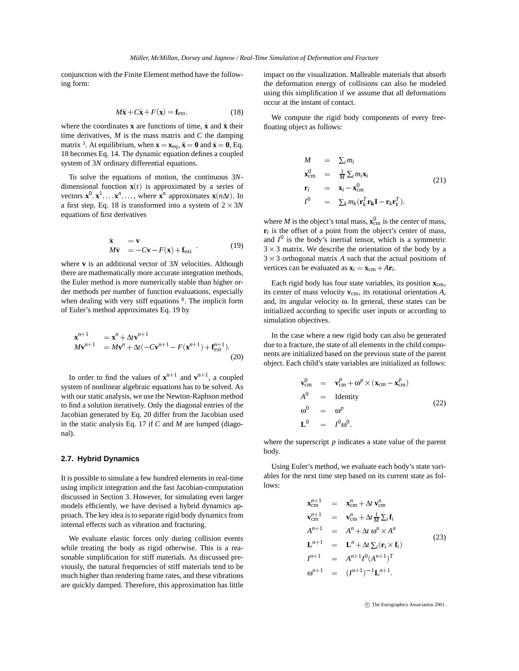conjunction with the Finite Element method have the following form:

$$
M\ddot{\mathbf{x}} + C\dot{\mathbf{x}} + F(\mathbf{x}) = \mathbf{f}_{ext},
$$
 (18)

where the coordinates **x** are functions of time, **x** and **x** their time derivatives, *M* is the mass matrix and *C* the damping matrix <sup>3</sup>. At equilibrium, when  $\mathbf{x} = \mathbf{x}_{eq}$ ,  $\ddot{\mathbf{x}} = \mathbf{0}$  and  $\dot{\mathbf{x}} = \mathbf{0}$ , Eq. 18 becomes Eq. 14. The dynamic equation defines a coupled system of 3*N* ordinary differential equations.

To solve the equations of motion, the continuous 3*N*dimensional function  $\mathbf{x}(t)$  is approximated by a series of vectors  $\mathbf{x}^0$ ,  $\mathbf{x}^1$ , ..., where  $\mathbf{x}^n$  approximates  $\mathbf{x}(n\Delta t)$ . In a first step, Eq. 18 is transformed into a system of  $2 \times 3N$ equations of first derivatives

$$
\dot{\mathbf{x}} = \mathbf{v}
$$
  
\n
$$
M\dot{\mathbf{v}} = -C\mathbf{v} - F(\mathbf{x}) + \mathbf{f}_{ext} ,
$$
\n(19)

where **v** is an additional vector of 3*N* velocities. Although there are mathematically more accurate integration methods, the Euler method is more numerically stable than higher order methods per number of function evaluations, especially when dealing with very stiff equations <sup>8</sup>. The implicit form of Euler's method approximates Eq. 19 by

$$
\mathbf{x}^{n+1} = \mathbf{x}^n + \Delta t \mathbf{v}^{n+1}
$$
  
\n
$$
M\mathbf{v}^{n+1} = M\mathbf{v}^n + \Delta t (-C\mathbf{v}^{n+1} - F(\mathbf{x}^{n+1}) + \mathbf{f}_{\text{ext}}^{n+1}).
$$
\n(20)

In order to find the values of  $\mathbf{x}^{n+1}$  and  $\mathbf{v}^{n+1}$ , a coupled system of nonlinear algebraic equations has to be solved. As with our static analysis, we use the Newton-Raphson method to find a solution iteratively. Only the diagonal entries of the Jacobian generated by Eq. 20 differ from the Jacobian used in the static analysis Eq. 17 if *C* and *M* are lumped (diagonal).

### **2.7. Hybrid Dynamics**

It is possible to simulate a few hundred elements in real-time using implicit integration and the fast Jacobian-computation discussed in Section 3. However, for simulating even larger models efficiently, we have devised a hybrid dynamics approach. The key idea is to separate rigid body dynamics from internal effects such as vibration and fracturing.

We evaluate elastic forces only during collision events while treating the body as rigid otherwise. This is a reasonable simplification for stiff materials. As discussed previously, the natural frequencies of stiff materials tend to be much higher than rendering frame rates, and these vibrations are quickly damped. Therefore, this approximation has little

impact on the visualization. Malleable materials that absorb the deformation energy of collisions can also be modeled using this simplification if we assume that all deformations occur at the instant of contact.

We compute the rigid body components of every freefloating object as follows:

$$
M = \sum_{i} m_{i}
$$
  
\n
$$
\mathbf{x}_{cm}^{0} = \frac{1}{M} \sum_{i} m_{i} \mathbf{x}_{i}
$$
  
\n
$$
\mathbf{r}_{i} = \mathbf{x}_{i} - \mathbf{x}_{cm}^{0}
$$
  
\n
$$
I^{0} = \sum_{k} m_{k} (\mathbf{r}_{k}^{T} \mathbf{r}_{k} \mathbf{I} - \mathbf{r}_{k} \mathbf{r}_{k}^{T}),
$$
\n(21)

where *M* is the object's total mass,  $\mathbf{x}_{cm}^0$  is the center of mass,  $\mathbf{r}_i$  is the offset of a point from the object's center of mass, and  $I^0$  is the body's inertial tensor, which is a symmetric  $3 \times 3$  matrix. We describe the orientation of the body by a  $3 \times 3$  orthogonal matrix *A* such that the actual positions of vertices can be evaluated as  $\mathbf{x}_i = \mathbf{x}_{cm} + A\mathbf{r}_i$ .

Each rigid body has four state variables, its position **x**cm, its center of mass velocity **v**cm, its rotational orientation *A*, and, its angular velocity ω. In general, these states can be initialized according to specific user inputs or according to simulation objectives.

In the case where a new rigid body can also be generated due to a fracture, the state of all elements in the child components are initialized based on the previous state of the parent object. Each child's state variables are initialized as follows:

$$
\mathbf{v}_{cm}^{0} = \mathbf{v}_{cm}^{p} + \omega^{p} \times (\mathbf{x}_{cm} - \mathbf{x}_{cm}^{p})
$$
  
\n
$$
A^{0} = \text{Identity}
$$
  
\n
$$
\omega^{0} = \omega^{p}
$$
  
\n
$$
\mathbf{L}^{0} = I^{0} \omega^{0},
$$
  
\n(22)

where the superscript *p* indicates a state value of the parent body.

Using Euler's method, we evaluate each body's state variables for the next time step based on its current state as follows:

$$
\mathbf{x}_{cm}^{n+1} = \mathbf{x}_{cm}^{n} + \Delta t \mathbf{v}_{cm}^{n}
$$
\n
$$
\mathbf{v}_{cm}^{n+1} = \mathbf{v}_{cm}^{n} + \Delta t \frac{1}{M} \Sigma_{i} \mathbf{f}_{i}
$$
\n
$$
A^{n+1} = A^{n} + \Delta t \omega^{n} \times A^{n}
$$
\n
$$
\mathbf{L}^{n+1} = \mathbf{L}^{n} + \Delta t \Sigma_{i} (\mathbf{r}_{i} \times \mathbf{f}_{i})
$$
\n
$$
I^{n+1} = A^{n+1} I^{0} (A^{n+1})^{T}
$$
\n
$$
\omega^{n+1} = (I^{n+1})^{-1} \mathbf{L}^{n+1}.
$$
\n(23)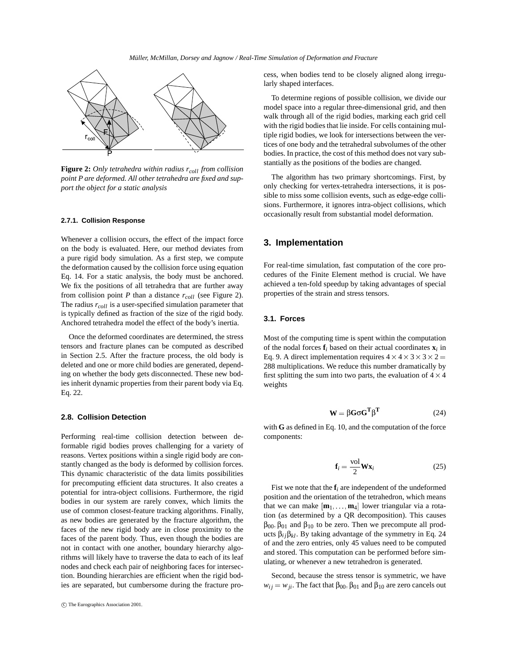

**Figure 2:** *Only tetrahedra within radius r<sub>coll</sub> from collision point P are deformed. All other tetrahedra are fixed and support the object for a static analysis*

#### **2.7.1. Collision Response**

Whenever a collision occurs, the effect of the impact force on the body is evaluated. Here, our method deviates from a pure rigid body simulation. As a first step, we compute the deformation caused by the collision force using equation Eq. 14. For a static analysis, the body must be anchored. We fix the positions of all tetrahedra that are further away from collision point *P* than a distance  $r_{coll}$  (see Figure 2). The radius  $r_{coll}$  is a user-specified simulation parameter that is typically defined as fraction of the size of the rigid body. Anchored tetrahedra model the effect of the body's inertia.

Once the deformed coordinates are determined, the stress tensors and fracture planes can be computed as described in Section 2.5. After the fracture process, the old body is deleted and one or more child bodies are generated, depending on whether the body gets disconnected. These new bodies inherit dynamic properties from their parent body via Eq. Eq. 22.

### **2.8. Collision Detection**

Performing real-time collision detection between deformable rigid bodies proves challenging for a variety of reasons. Vertex positions within a single rigid body are constantly changed as the body is deformed by collision forces. This dynamic characteristic of the data limits possibilities for precomputing efficient data structures. It also creates a potential for intra-object collisions. Furthermore, the rigid bodies in our system are rarely convex, which limits the use of common closest-feature tracking algorithms. Finally, as new bodies are generated by the fracture algorithm, the faces of the new rigid body are in close proximity to the faces of the parent body. Thus, even though the bodies are not in contact with one another, boundary hierarchy algorithms will likely have to traverse the data to each of its leaf nodes and check each pair of neighboring faces for intersection. Bounding hierarchies are efficient when the rigid bodies are separated, but cumbersome during the fracture pro-

cess, when bodies tend to be closely aligned along irregularly shaped interfaces.

To determine regions of possible collision, we divide our model space into a regular three-dimensional grid, and then walk through all of the rigid bodies, marking each grid cell with the rigid bodies that lie inside. For cells containing multiple rigid bodies, we look for intersections between the vertices of one body and the tetrahedral subvolumes of the other bodies. In practice, the cost of this method does not vary substantially as the positions of the bodies are changed.

The algorithm has two primary shortcomings. First, by only checking for vertex-tetrahedra intersections, it is possible to miss some collision events, such as edge-edge collisions. Furthermore, it ignores intra-object collisions, which occasionally result from substantial model deformation.

## **3. Implementation**

For real-time simulation, fast computation of the core procedures of the Finite Element method is crucial. We have achieved a ten-fold speedup by taking advantages of special properties of the strain and stress tensors.

### **3.1. Forces**

Most of the computing time is spent within the computation of the nodal forces  $f_i$  based on their actual coordinates  $x_i$  in Eq. 9. A direct implementation requires  $4 \times 4 \times 3 \times 3 \times 2 =$ 288 multiplications. We reduce this number dramatically by first splitting the sum into two parts, the evaluation of  $4 \times 4$ weights

$$
W = \beta G \sigma G^T \beta^T \qquad (24)
$$

with **G** as defined in Eq. 10, and the computation of the force components:

**W** -

$$
\mathbf{f}_i = \frac{\text{vol}}{2} \mathbf{W} \mathbf{x}_i \tag{25}
$$

Fist we note that the **f***i* are independent of the undeformed position and the orientation of the tetrahedron, which means that we can make  $[\mathbf{m}_1, \dots, \mathbf{m}_4]$  lower triangular via a rotation (as determined by a QR decomposition). This causes  $\beta_{00}, \beta_{01}$  and  $\beta_{10}$  to be zero. Then we precompute all products  $β_{i}β_{k}$ . By taking advantage of the symmetry in Eq. 24 of and the zero entries, only 45 values need to be computed and stored. This computation can be performed before simulating, or whenever a new tetrahedron is generated.

Second, because the stress tensor is symmetric, we have  $w_{ij} = w_{ji}$ . The fact that  $\beta_{00}, \beta_{01}$  and  $\beta_{10}$  are zero cancels out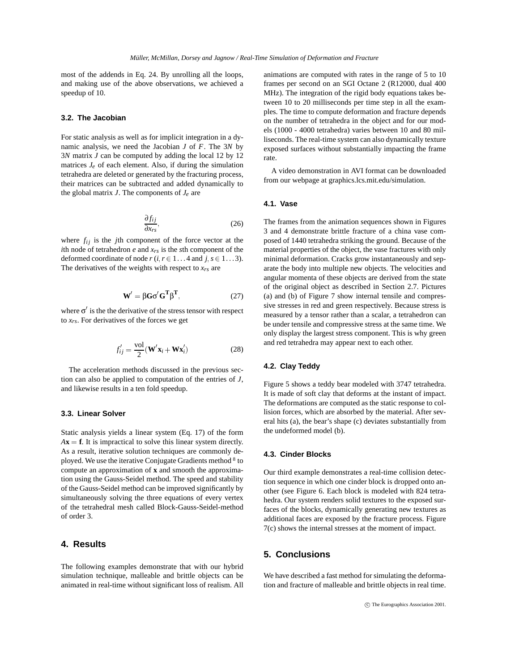most of the addends in Eq. 24. By unrolling all the loops, and making use of the above observations, we achieved a speedup of 10.

### **3.2. The Jacobian**

For static analysis as well as for implicit integration in a dynamic analysis, we need the Jacobian *J* of *F*. The 3*N* by 3*N* matrix *J* can be computed by adding the local 12 by 12 matrices  $J_e$  of each element. Also, if during the simulation tetrahedra are deleted or generated by the fracturing process, their matrices can be subtracted and added dynamically to the global matrix *J*. The components of *Je* are

$$
\frac{\partial f_{ij}}{\partial x_{rs}},\tag{26}
$$

where  $f_{ij}$  is the *j*th component of the force vector at the *i*th node of tetrahedron *e* and *xrs* is the *s*th component of the deformed coordinate of node  $r$  ( $i, r \in 1...4$  and  $j, s \in 1...3$ ). The derivatives of the weights with respect to *xrs* are

$$
\mathbf{W}' = \beta \mathbf{G} \sigma' \mathbf{G}^{\mathrm{T}} \beta^{\mathrm{T}}, \tag{27}
$$

where  $\sigma'$  is the the derivative of the stress tensor with respect to *xrs*. For derivatives of the forces we get

$$
f'_{ij} = \frac{\text{vol}}{2} (\mathbf{W}' \mathbf{x}_i + \mathbf{W} \mathbf{x}'_i)
$$
 (28)

The acceleration methods discussed in the previous section can also be applied to computation of the entries of *J*, and likewise results in a ten fold speedup.

### **3.3. Linear Solver**

Static analysis yields a linear system (Eq. 17) of the form  $A**x** = **f**$ . It is impractical to solve this linear system directly. As a result, iterative solution techniques are commonly deployed. We use the iterative Conjugate Gradients method <sup>8</sup> to compute an approximation of **x** and smooth the approximation using the Gauss-Seidel method. The speed and stability of the Gauss-Seidel method can be improved significantly by simultaneously solving the three equations of every vertex of the tetrahedral mesh called Block-Gauss-Seidel-method of order 3.

# **4. Results**

The following examples demonstrate that with our hybrid simulation technique, malleable and brittle objects can be animated in real-time without significant loss of realism. All animations are computed with rates in the range of 5 to 10 frames per second on an SGI Octane 2 (R12000, dual 400 MHz). The integration of the rigid body equations takes between 10 to 20 milliseconds per time step in all the examples. The time to compute deformation and fracture depends on the number of tetrahedra in the object and for our models (1000 - 4000 tetrahedra) varies between 10 and 80 milliseconds. The real-time system can also dynamically texture exposed surfaces without substantially impacting the frame rate.

A video demonstration in AVI format can be downloaded from our webpage at graphics.lcs.mit.edu/simulation.

### **4.1. Vase**

The frames from the animation sequences shown in Figures 3 and 4 demonstrate brittle fracture of a china vase composed of 1440 tetrahedra striking the ground. Because of the material properties of the object, the vase fractures with only minimal deformation. Cracks grow instantaneously and separate the body into multiple new objects. The velocities and angular momenta of these objects are derived from the state of the original object as described in Section 2.7. Pictures (a) and (b) of Figure 7 show internal tensile and compressive stresses in red and green respectively. Because stress is measured by a tensor rather than a scalar, a tetrahedron can be under tensile and compressive stress at the same time. We only display the largest stress component. This is why green and red tetrahedra may appear next to each other.

### **4.2. Clay Teddy**

Figure 5 shows a teddy bear modeled with 3747 tetrahedra. It is made of soft clay that deforms at the instant of impact. The deformations are computed as the static response to collision forces, which are absorbed by the material. After several hits (a), the bear's shape (c) deviates substantially from the undeformed model (b).

### **4.3. Cinder Blocks**

Our third example demonstrates a real-time collision detection sequence in which one cinder block is dropped onto another (see Figure 6. Each block is modeled with 824 tetrahedra. Our system renders solid textures to the exposed surfaces of the blocks, dynamically generating new textures as additional faces are exposed by the fracture process. Figure 7(c) shows the internal stresses at the moment of impact.

# **5. Conclusions**

We have described a fast method for simulating the deformation and fracture of malleable and brittle objects in real time.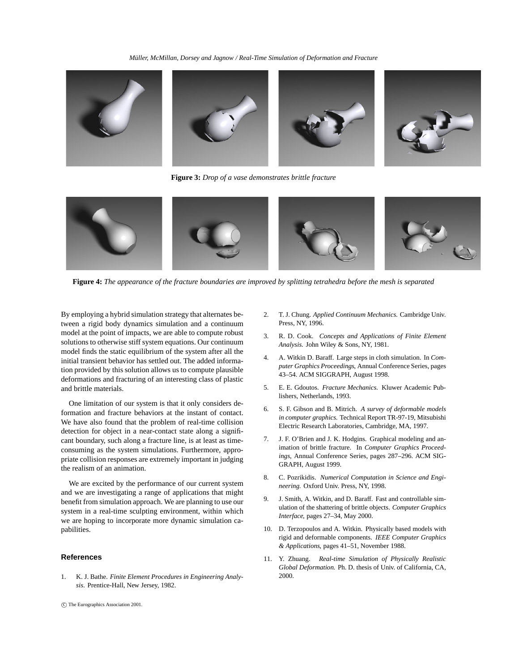

**Figure 3:** *Drop of a vase demonstrates brittle fracture*



**Figure 4:** *The appearance of the fracture boundaries are improved by splitting tetrahedra before the mesh is separated*

By employing a hybrid simulation strategy that alternates between a rigid body dynamics simulation and a continuum model at the point of impacts, we are able to compute robust solutions to otherwise stiff system equations. Our continuum model finds the static equilibrium of the system after all the initial transient behavior has settled out. The added information provided by this solution allows us to compute plausible deformations and fracturing of an interesting class of plastic and brittle materials.

One limitation of our system is that it only considers deformation and fracture behaviors at the instant of contact. We have also found that the problem of real-time collision detection for object in a near-contact state along a significant boundary, such along a fracture line, is at least as timeconsuming as the system simulations. Furthermore, appropriate collision responses are extremely important in judging the realism of an animation.

We are excited by the performance of our current system and we are investigating a range of applications that might benefit from simulation approach. We are planning to use our system in a real-time sculpting environment, within which we are hoping to incorporate more dynamic simulation capabilities.

### **References**

1. K. J. Bathe. *Finite Element Procedures in Engineering Analysis*. Prentice-Hall, New Jersey, 1982.

c The Eurographics Association 2001.

- 2. T. J. Chung. *Applied Continuum Mechanics*. Cambridge Univ. Press, NY, 1996.
- 3. R. D. Cook. *Concepts and Applications of Finite Element Analysis*. John Wiley & Sons, NY, 1981.
- 4. A. Witkin D. Baraff. Large steps in cloth simulation. In *Computer Graphics Proceedings*, Annual Conference Series, pages 43–54. ACM SIGGRAPH, August 1998.
- 5. E. E. Gdoutos. *Fracture Mechanics*. Kluwer Academic Publishers, Netherlands, 1993.
- 6. S. F. Gibson and B. Mitrich. *A survey of deformable models in computer graphics*. Technical Report TR-97-19, Mitsubishi Electric Research Laboratories, Cambridge, MA, 1997.
- 7. J. F. O'Brien and J. K. Hodgins. Graphical modeling and animation of brittle fracture. In *Computer Graphics Proceedings*, Annual Conference Series, pages 287–296. ACM SIG-GRAPH, August 1999.
- 8. C. Pozrikidis. *Numerical Computation in Science and Engineering*. Oxford Univ. Press, NY, 1998.
- 9. J. Smith, A. Witkin, and D. Baraff. Fast and controllable simulation of the shattering of brittle objects. *Computer Graphics Interface*, pages 27–34, May 2000.
- 10. D. Terzopoulos and A. Witkin. Physically based models with rigid and deformable components. *IEEE Computer Graphics & Applications*, pages 41–51, November 1988.
- 11. Y. Zhuang. *Real-time Simulation of Physically Realistic Global Deformation*. Ph. D. thesis of Univ. of California, CA, 2000.